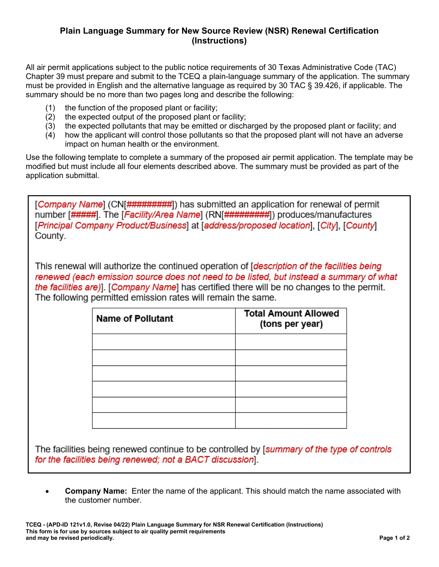## **Plain Language Summary for New Source Review (NSR) Renewal Certification (Instructions)**

All air permit applications subject to the public notice requirements of 30 Texas Administrative Code (TAC) Chapter 39 must prepare and submit to the TCEQ a plain-language summary of the application. The summary must be provided in English and the alternative language as required by 30 TAC § 39.426, if applicable. The summary should be no more than two pages long and describe the following:

- (1) the function of the proposed plant or facility;
- (2) the expected output of the proposed plant or facility;
- (3) the expected pollutants that may be emitted or discharged by the proposed plant or facility; and
- (4) how the applicant will control those pollutants so that the proposed plant will not have an adverse impact on human health or the environment.

Use the following template to complete a summary of the proposed air permit application. The template may be modified but must include all four elements described above. The summary must be provided as part of the application submittal.

[Company Name] (CN[#########]) has submitted an application for renewal of permit number [#####]. The [Facility/Area Name] (RN[########]) produces/manufactures [Principal Company Product/Business] at [address/proposed location], [City], [County] County.

This renewal will authorize the continued operation of [description of the facilities being renewed (each emission source does not need to be listed, but instead a summary of what the facilities are)]. [Company Name] has certified there will be no changes to the permit. The following permitted emission rates will remain the same.

| <b>Name of Pollutant</b> | <b>Total Amount Allowed</b><br>(tons per year) |
|--------------------------|------------------------------------------------|
|                          |                                                |
|                          |                                                |
|                          |                                                |
|                          |                                                |
|                          |                                                |
|                          |                                                |

The facilities being renewed continue to be controlled by [summary of the type of controls for the facilities being renewed; not a BACT discussion].

• **Company Name:** Enter the name of the applicant. This should match the name associated with the customer number.